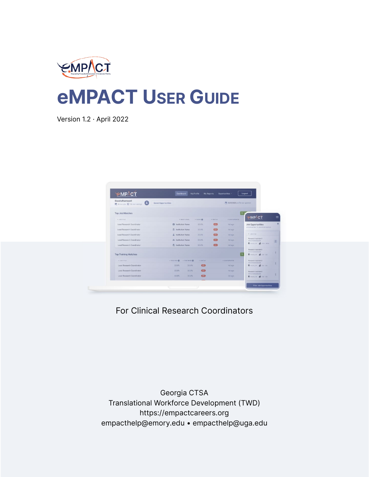

# **eMPACT USER GUIDE**

Version 1.2 · April 2022

| <b>EMPACT</b>                                    | <b>Dashboard</b>               |                        | My Profile      | <b>My Reports</b> | Opportunities -                    | Logout                                                                |
|--------------------------------------------------|--------------------------------|------------------------|-----------------|-------------------|------------------------------------|-----------------------------------------------------------------------|
| Good afternoon!<br>局 6mm jobs 极 12 new trainings | Saved Opportunities            |                        |                 |                   | 門: 9/08/2020 profile last updated. |                                                                       |
| <b>Top Job Matches</b>                           |                                |                        |                 |                   |                                    | -MP/CT                                                                |
| $+3243.7121.6$                                   |                                | $+$ <b>BIETITUTION</b> | $+$ toute $@$   | $= 3187.01$       | - LAST UPDATES                     |                                                                       |
| Lead Research Coordinator                        | <b>CI Institution Name</b>     |                        | 33.8%           | $\overline{C}$    | ddago                              | <b>Job Opportunities</b><br>огеоатцытах > зов окностиналах            |
| Lead Research Coordinator                        | ff institution Name            |                        | 23.8%           | CO                | 46 300                             |                                                                       |
| Lead Research Coordinator                        | & Institution Name             |                        | 33.8%           | $\overline{CD}$   | 40 400                             | * JOE TITLE                                                           |
| Lead Research Coordinator                        | ## Institution Name            |                        | 33.8%           | $\overline{C}$    | 4d app                             | Responsibilities (CA)<br>HELCTOUS DISCASE                             |
| Lead Research Coordinator                        | F Institution Name             |                        | 33.8%           | CD                | 4d ago-                            | <b>Q</b> Atlanta, CA 8 3320-3329.                                     |
| <b>Top Training Matches</b>                      |                                |                        |                 |                   |                                    | Research Assistant F<br><b>MARINE ROOM AND</b><br>Watermal of the the |
| $+200$ trius                                     | $\theta$ on the range $\theta$ |                        | $=$ grayage     |                   | - LAET LISTATED                    | <b>Rosevice Assistant I</b><br>INFESTIOUS BINERM                      |
| Lead Research Coordinator                        | 33.056                         | 33.8%                  | <b>CENT</b>     |                   | 4d app                             | <b>Q</b> Abroad of Miller in                                          |
| Lead Research Coordinator                        | 33.8%                          | 33.B%                  | $\overline{CD}$ |                   | 4d ago                             | Desearch Assistant I                                                  |
| Lead Research Coordinator                        | 33.8%                          | 33.8%                  | $\overline{CD}$ |                   | 4d ago-                            | <b>WESTING BOOKS</b><br>Waterfalls of 120 135                         |

For Clinical Research Coordinators

Georgia CTSA Translational Workforce Development (TWD) https://empactcareers.org empacthelp@emory.edu • empacthelp@uga.edu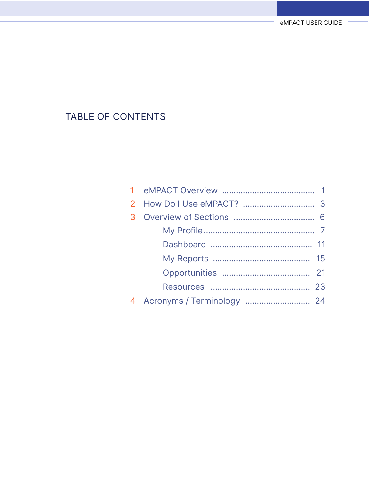### TABLE OF CONTENTS

| 4 Acronyms / Terminology  24 |  |
|------------------------------|--|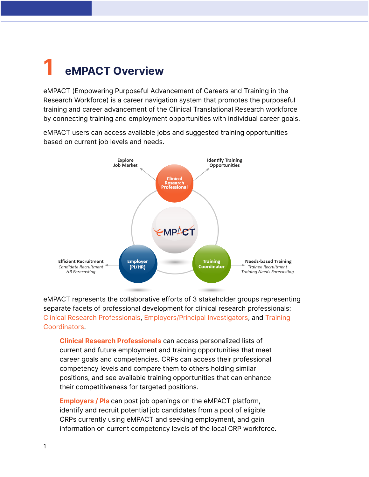### <span id="page-2-0"></span>**1 eMPACT Overview**

eMPACT (Empowering Purposeful Advancement of Careers and Training in the Research Workforce) is a career navigation system that promotes the purposeful training and career advancement of the Clinical Translational Research workforce by connecting training and employment opportunities with individual career goals.

eMPACT users can access available jobs and suggested training opportunities based on current job levels and needs.



eMPACT represents the collaborative efforts of 3 stakeholder groups representing separate facets of professional development for clinical research professionals: Clinical Research Professionals, Employers/Principal Investigators, and Training Coordinators.

**Clinical Research Professionals** can access personalized lists of current and future employment and training opportunities that meet career goals and competencies. CRPs can access their professional competency levels and compare them to others holding similar positions, and see available training opportunities that can enhance their competitiveness for targeted positions.

**Employers / PIs** can post job openings on the eMPACT platform, identify and recruit potential job candidates from a pool of eligible CRPs currently using eMPACT and seeking employment, and gain information on current competency levels of the local CRP workforce.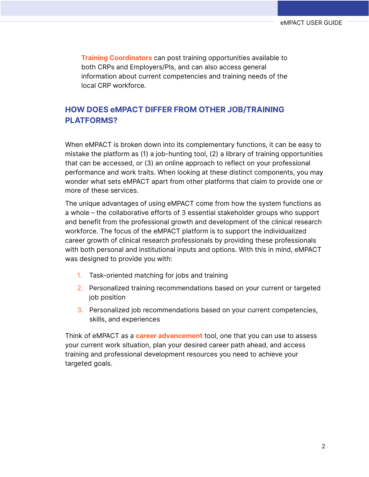**Training Coordinators** can post training opportunities available to both CRPs and Employers/PIs, and can also access general information about current competencies and training needs of the local CRP workforce.

#### **HOW DOES eMPACT DIFFER FROM OTHER JOB/TRAINING PLATFORMS?**

When eMPACT is broken down into its complementary functions, it can be easy to mistake the platform as (1) a job-hunting tool, (2) a library of training opportunities that can be accessed, or (3) an online approach to reflect on your professional performance and work traits. When looking at these distinct components, you may wonder what sets eMPACT apart from other platforms that claim to provide one or more of these services.

The unique advantages of using eMPACT come from how the system functions as a whole – the collaborative efforts of 3 essential stakeholder groups who support and benefit from the professional growth and development of the clinical research workforce. The focus of the eMPACT platform is to support the individualized career growth of clinical research professionals by providing these professionals with both personal and institutional inputs and options. With this in mind, eMPACT was designed to provide you with:

- 1. Task-oriented matching for jobs and training
- 2. Personalized training recommendations based on your current or targeted job position
- 3. Personalized job recommendations based on your current competencies, skills, and experiences

Think of eMPACT as a **career advancement** tool, one that you can use to assess your current work situation, plan your desired career path ahead, and access training and professional development resources you need to achieve your targeted goals.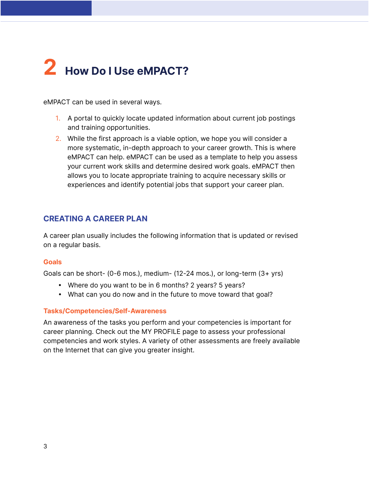# **2 How Do I Use eMPACT?**

eMPACT can be used in several ways.

- 1. A portal to quickly locate updated information about current job postings and training opportunities.
- 2. While the first approach is a viable option, we hope you will consider a more systematic, in-depth approach to your career growth. This is where eMPACT can help. eMPACT can be used as a template to help you assess your current work skills and determine desired work goals. eMPACT then allows you to locate appropriate training to acquire necessary skills or experiences and identify potential jobs that support your career plan.

#### **CREATING A CAREER PLAN**

A career plan usually includes the following information that is updated or revised on a regular basis.

#### **Goals**

Goals can be short- (0-6 mos.), medium- (12-24 mos.), or long-term (3+ yrs)

- Where do you want to be in 6 months? 2 years? 5 years?
- What can you do now and in the future to move toward that goal?

#### **Tasks/Competencies/Self-Awareness**

An awareness of the tasks you perform and your competencies is important for career planning. Check out the MY PROFILE page to assess your professional competencies and work styles. A variety of other assessments are freely available on the Internet that can give you greater insight.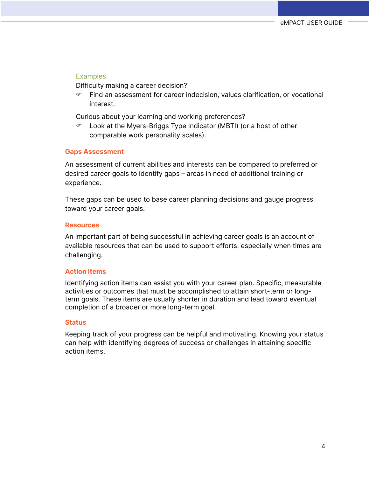#### **Examples**

Difficulty making a career decision?

 $\blacktriangleright$  Find an assessment for career indecision, values clarification, or vocational interest.

Curious about your learning and working preferences?

 Look at the Myers-Briggs Type Indicator (MBTI) (or a host of other comparable work personality scales).

#### **Gaps Assessment**

An assessment of current abilities and interests can be compared to preferred or desired career goals to identify gaps – areas in need of additional training or experience.

These gaps can be used to base career planning decisions and gauge progress toward your career goals.

#### **Resources**

An important part of being successful in achieving career goals is an account of available resources that can be used to support efforts, especially when times are challenging.

#### **Action Items**

Identifying action items can assist you with your career plan. Specific, measurable activities or outcomes that must be accomplished to attain short-term or longterm goals. These items are usually shorter in duration and lead toward eventual completion of a broader or more long-term goal.

#### **Status**

Keeping track of your progress can be helpful and motivating. Knowing your status can help with identifying degrees of success or challenges in attaining specific action items.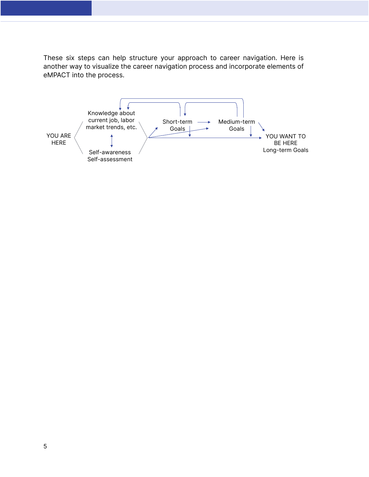These six steps can help structure your approach to career navigation. Here is another way to visualize the career navigation process and incorporate elements of eMPACT into the process.

<span id="page-6-0"></span>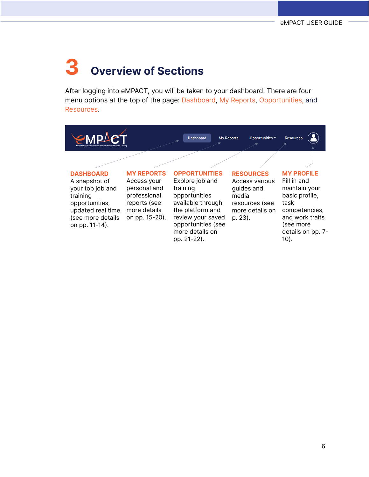## **3 Overview of Sections**

After logging into eMPACT, you will be taken to your dashboard. There are four menu options at the top of the page: Dashboard, My Reports, Opportunities, and Resources.

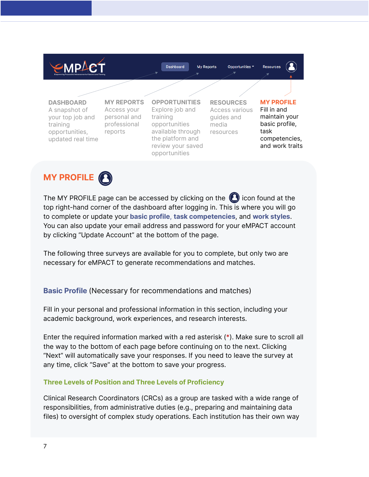



The MY PROFILE page can be accessed by clicking on the  $\bigodot$  icon found at the top right-hand corner of the dashboard after logging in. This is where you will go to complete or update your **basic profile**, **task competencies**, and **work styles**. You can also update your email address and password for your eMPACT account by clicking "Update Account" at the bottom of the page.

The following three surveys are available for you to complete, but only two are necessary for eMPACT to generate recommendations and matches.

#### **Basic Profile** (Necessary for recommendations and matches)

Fill in your personal and professional information in this section, including your academic background, work experiences, and research interests.

Enter the required information marked with a red asterisk (\*). Make sure to scroll all the way to the bottom of each page before continuing on to the next. Clicking "Next" will automatically save your responses. If you need to leave the survey at any time, click "Save" at the bottom to save your progress.

#### **Three Levels of Position and Three Levels of Proficiency**

Clinical Research Coordinators (CRCs) as a group are tasked with a wide range of responsibilities, from administrative duties (e.g., preparing and maintaining data files) to oversight of complex study operations. Each institution has their own way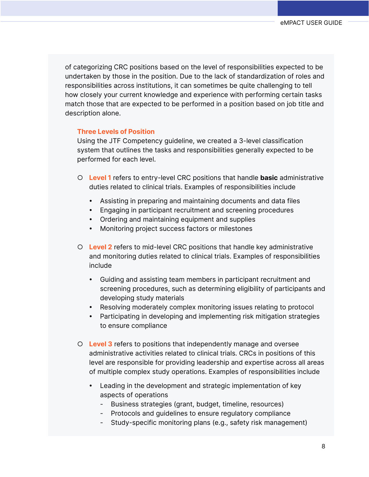of categorizing CRC positions based on the level of responsibilities expected to be undertaken by those in the position. Due to the lack of standardization of roles and responsibilities across institutions, it can sometimes be quite challenging to tell how closely your current knowledge and experience with performing certain tasks match those that are expected to be performed in a position based on job title and description alone.

#### **Three Levels of Position**

Using the JTF Competency guideline, we created a 3-level classification system that outlines the tasks and responsibilities generally expected to be performed for each level.

- **Level 1** refers to entry-level CRC positions that handle **basic** administrative duties related to clinical trials. Examples of responsibilities include
	- Assisting in preparing and maintaining documents and data files
	- Engaging in participant recruitment and screening procedures
	- Ordering and maintaining equipment and supplies
	- Monitoring project success factors or milestones
- **Level 2** refers to mid-level CRC positions that handle key administrative and monitoring duties related to clinical trials. Examples of responsibilities include
	- Guiding and assisting team members in participant recruitment and screening procedures, such as determining eligibility of participants and developing study materials
	- Resolving moderately complex monitoring issues relating to protocol
	- Participating in developing and implementing risk mitigation strategies to ensure compliance
- **Level 3** refers to positions that independently manage and oversee administrative activities related to clinical trials. CRCs in positions of this level are responsible for providing leadership and expertise across all areas of multiple complex study operations. Examples of responsibilities include
	- Leading in the development and strategic implementation of key aspects of operations
		- Business strategies (grant, budget, timeline, resources)
		- Protocols and guidelines to ensure regulatory compliance
		- Study-specific monitoring plans (e.g., safety risk management)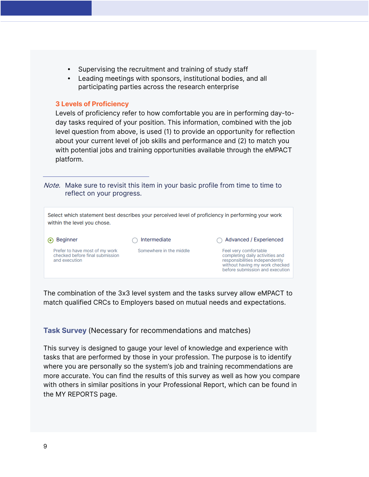- Supervising the recruitment and training of study staff
- Leading meetings with sponsors, institutional bodies, and all participating parties across the research enterprise

#### **3 Levels of Proficiency**

Levels of proficiency refer to how comfortable you are in performing day-today tasks required of your position. This information, combined with the job level question from above, is used (1) to provide an opportunity for reflection about your current level of job skills and performance and (2) to match you with potential jobs and training opportunities available through the eMPACT platform.

Note. Make sure to revisit this item in your basic profile from time to time to reflect on your progress.

| within the level you chose.                                                        |                         | Select which statement best describes your perceived level of proficiency in performing your work                                                               |
|------------------------------------------------------------------------------------|-------------------------|-----------------------------------------------------------------------------------------------------------------------------------------------------------------|
| <b>Beginner</b>                                                                    | Intermediate            | Advanced / Experienced                                                                                                                                          |
| Prefer to have most of my work<br>checked before final submission<br>and execution | Somewhere in the middle | Feel very comfortable<br>completing daily activities and<br>responsibilities independently<br>without having my work checked<br>before submission and execution |

The combination of the 3x3 level system and the tasks survey allow eMPACT to match qualified CRCs to Employers based on mutual needs and expectations.

**Task Survey** (Necessary for recommendations and matches)

This survey is designed to gauge your level of knowledge and experience with tasks that are performed by those in your profession. The purpose is to identify where you are personally so the system's job and training recommendations are more accurate. You can find the results of this survey as well as how you compare with others in similar positions in your Professional Report, which can be found in the MY REPORTS page.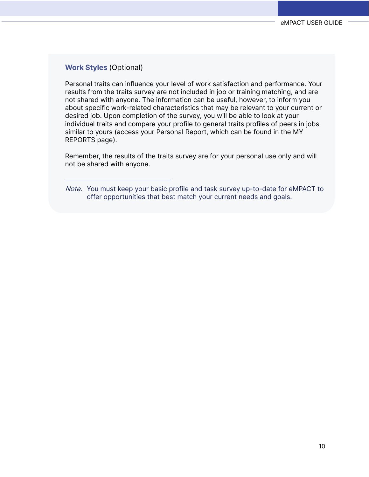#### **Work Styles** (Optional)

Personal traits can influence your level of work satisfaction and performance. Your results from the traits survey are not included in job or training matching, and are not shared with anyone. The information can be useful, however, to inform you about specific work-related characteristics that may be relevant to your current or desired job. Upon completion of the survey, you will be able to look at your individual traits and compare your profile to general traits profiles of peers in jobs similar to yours (access your Personal Report, which can be found in the MY REPORTS page).

Remember, the results of the traits survey are for your personal use only and will not be shared with anyone.

Note. You must keep your basic profile and task survey up-to-date for eMPACT to offer opportunities that best match your current needs and goals.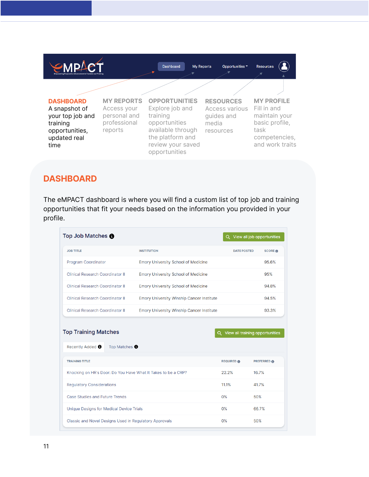

#### **DASHBOARD**

The eMPACT dashboard is where you will find a custom list of top job and training opportunities that fit your needs based on the information you provided in your profile.

| Top Job Matches <sup>O</sup>                                  |                                                  |                                   | Q View all job opportunities |
|---------------------------------------------------------------|--------------------------------------------------|-----------------------------------|------------------------------|
| <b>JOB TITLE</b>                                              | <b>INSTITUTION</b>                               | <b>DATE POSTED</b>                | <b>SCORE ®</b>               |
| <b>Program Coordinator</b>                                    | <b>Emory University School of Medicine</b>       |                                   | 95.6%                        |
| <b>Clinical Research Coordinator II</b>                       | <b>Emory University School of Medicine</b>       |                                   | 95%                          |
| <b>Clinical Research Coordinator II</b>                       | <b>Emory University School of Medicine</b>       |                                   | 94.8%                        |
| <b>Clinical Research Coordinator II</b>                       | Emory University Winship Cancer Institute        |                                   | 94.5%                        |
| Clinical Research Coordinator II                              | <b>Emory University Winship Cancer Institute</b> |                                   | 93.3%                        |
| <b>Top Training Matches</b>                                   |                                                  | Q View all training opportunities |                              |
| Recently Added <sup>O</sup><br>Top Matches <sup>O</sup>       |                                                  |                                   |                              |
| <b>TRAINING TITLE</b>                                         |                                                  | <b>REQUIRED @</b>                 | <b>PREFERRED</b>             |
| Knocking on HR's Door: Do You Have What It Takes to be a CRP? |                                                  | 22.2%                             | 16.7%                        |
| <b>Regulatory Considerations</b>                              |                                                  | 11.1%                             | 41.7%                        |
| <b>Case Studies and Future Trends</b>                         |                                                  | 0%                                | 50%                          |
| Unique Designs for Medical Device Trials                      |                                                  | $0\%$                             | 66.7%                        |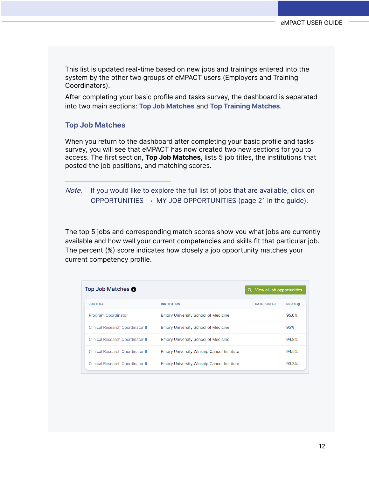This list is updated real-time based on new jobs and trainings entered into the system by the other two groups of eMPACT users (Employers and Training Coordinators).

After completing your basic profile and tasks survey, the dashboard is separated into two main sections: **Top Job Matches** and **Top Training Matches**.

#### **Top Job Matches**

When you return to the dashboard after completing your basic profile and tasks survey, you will see that eMPACT has now created two new sections for you to access. The first section, **Top Job Matches**, lists 5 job titles, the institutions that posted the job positions, and matching scores.

Note. If you would like to explore the full list of jobs that are available, click on OPPORTUNITIES  $\rightarrow$  MY JOB OPPORTUNITIES (page 21 in the quide).

The top 5 jobs and corresponding match scores show you what jobs are currently available and how well your current competencies and skills fit that particular job. The percent (%) score indicates how closely a job opportunity matches your current competency profile.

| Top Job Matches <b>∩</b>         |                                                  | Q View all job opportunities |                    |
|----------------------------------|--------------------------------------------------|------------------------------|--------------------|
| <b>JOB TITLE</b>                 | <b>INSTITUTION</b>                               | <b>DATE POSTED</b>           | <b>SCORE &amp;</b> |
| <b>Program Coordinator</b>       | <b>Emory University School of Medicine</b>       |                              | 95.6%              |
| Clinical Research Coordinator II | <b>Emory University School of Medicine</b>       |                              | 95%                |
| Clinical Research Coordinator II | <b>Emory University School of Medicine</b>       |                              | 94.8%              |
| Clinical Research Coordinator II | <b>Emory University Winship Cancer Institute</b> |                              | 94.5%              |
| Clinical Research Coordinator II | <b>Emory University Winship Cancer Institute</b> |                              | 93.3%              |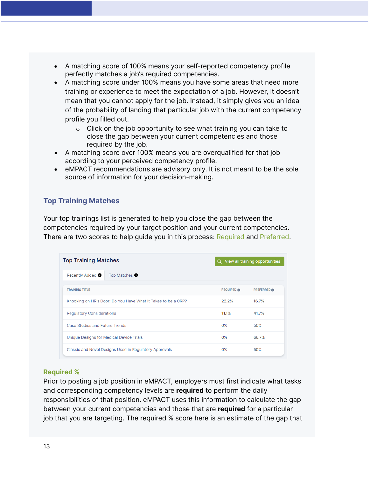- A matching score of 100% means your self-reported competency profile perfectly matches a job's required competencies.
- A matching score under 100% means you have some areas that need more training or experience to meet the expectation of a job. However, it doesn't mean that you cannot apply for the job. Instead, it simply gives you an idea of the probability of landing that particular job with the current competency profile you filled out.
	- $\circ$  Click on the job opportunity to see what training you can take to close the gap between your current competencies and those required by the job.
- A matching score over 100% means you are overqualified for that job according to your perceived competency profile.
- eMPACT recommendations are advisory only. It is not meant to be the sole source of information for your decision-making.

#### **Top Training Matches**

Your top trainings list is generated to help you close the gap between the competencies required by your target position and your current competencies. There are two scores to help guide you in this process: Required and Preferred.

| <b>Top Training Matches</b>                                   |                       | Q View all training opportunities |
|---------------------------------------------------------------|-----------------------|-----------------------------------|
| Top Matches <b>O</b><br>Recently Added <sup>0</sup>           |                       |                                   |
| <b>TRAINING TITLE</b>                                         | <b>REQUIRED &amp;</b> | <b>PREFERRED ®</b>                |
| Knocking on HR's Door: Do You Have What It Takes to be a CRP? | 22.2%                 | 16.7%                             |
| <b>Requlatory Considerations</b>                              | 11.1%                 | 41.7%                             |
| Case Studies and Future Trends                                | $0\%$                 | 50%                               |
| Unique Designs for Medical Device Trials                      | 0%                    | 66.7%                             |
| Classic and Novel Designs Used in Regulatory Approvals        | $0\%$                 | 50%                               |

#### **Required %**

Prior to posting a job position in eMPACT, employers must first indicate what tasks and corresponding competency levels are **required** to perform the daily responsibilities of that position. eMPACT uses this information to calculate the gap between your current competencies and those that are **required** for a particular job that you are targeting. The required % score here is an estimate of the gap that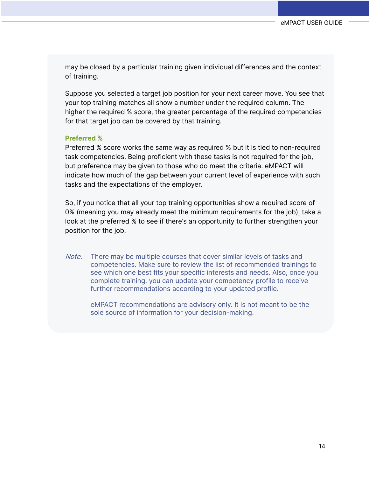may be closed by a particular training given individual differences and the context of training.

Suppose you selected a target job position for your next career move. You see that your top training matches all show a number under the required column. The higher the required % score, the greater percentage of the required competencies for that target job can be covered by that training.

#### **Preferred %**

Preferred % score works the same way as required % but it is tied to non-required task competencies. Being proficient with these tasks is not required for the job, but preference may be given to those who do meet the criteria. eMPACT will indicate how much of the gap between your current level of experience with such tasks and the expectations of the employer.

So, if you notice that all your top training opportunities show a required score of 0% (meaning you may already meet the minimum requirements for the job), take a look at the preferred % to see if there's an opportunity to further strengthen your position for the job.

Note. There may be multiple courses that cover similar levels of tasks and competencies. Make sure to review the list of recommended trainings to see which one best fits your specific interests and needs. Also, once you complete training, you can update your competency profile to receive further recommendations according to your updated profile.

eMPACT recommendations are advisory only. It is not meant to be the sole source of information for your decision-making.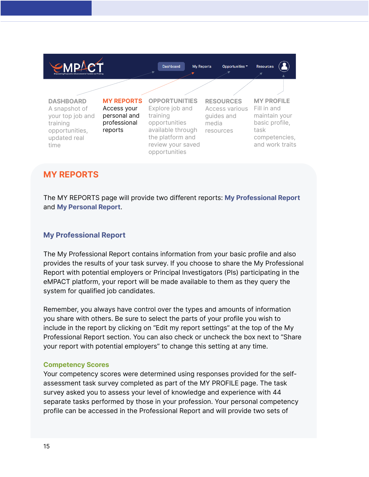

#### **MY REPORTS**

The MY REPORTS page will provide two different reports: **My Professional Report** and **My Personal Report**.

#### **My Professional Report**

The My Professional Report contains information from your basic profile and also provides the results of your task survey. If you choose to share the My Professional Report with potential employers or Principal Investigators (PIs) participating in the eMPACT platform, your report will be made available to them as they query the system for qualified job candidates.

Remember, you always have control over the types and amounts of information you share with others. Be sure to select the parts of your profile you wish to include in the report by clicking on "Edit my report settings" at the top of the My Professional Report section. You can also check or uncheck the box next to "Share your report with potential employers" to change this setting at any time.

#### **Competency Scores**

Your competency scores were determined using responses provided for the selfassessment task survey completed as part of the MY PROFILE page. The task survey asked you to assess your level of knowledge and experience with 44 separate tasks performed by those in your profession. Your personal competency profile can be accessed in the Professional Report and will provide two sets of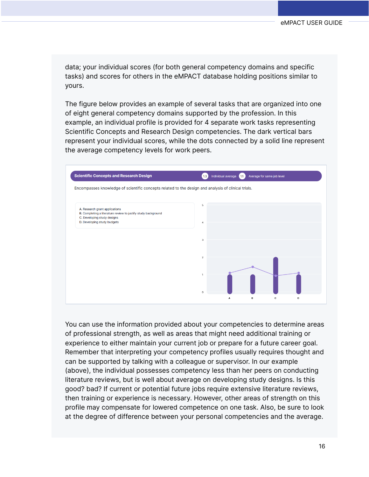data; your individual scores (for both general competency domains and specific tasks) and scores for others in the eMPACT database holding positions similar to yours.

The figure below provides an example of several tasks that are organized into one of eight general competency domains supported by the profession. In this example, an individual profile is provided for 4 separate work tasks representing Scientific Concepts and Research Design competencies. The dark vertical bars represent your individual scores, while the dots connected by a solid line represent the average competency levels for work peers.



You can use the information provided about your competencies to determine areas of professional strength, as well as areas that might need additional training or experience to either maintain your current job or prepare for a future career goal. Remember that interpreting your competency profiles usually requires thought and can be supported by talking with a colleague or supervisor. In our example (above), the individual possesses competency less than her peers on conducting literature reviews, but is well about average on developing study designs. Is this good? bad? If current or potential future jobs require extensive literature reviews, then training or experience is necessary. However, other areas of strength on this profile may compensate for lowered competence on one task. Also, be sure to look at the degree of difference between your personal competencies and the average.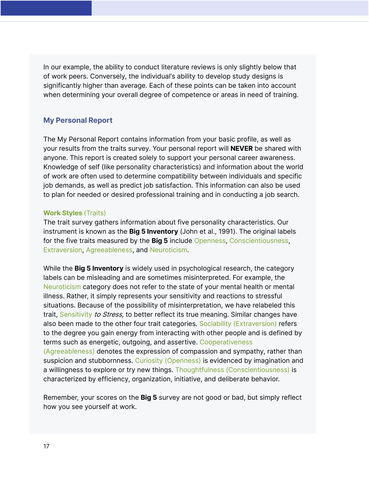In our example, the ability to conduct literature reviews is only slightly below that of work peers. Conversely, the individual's ability to develop study designs is significantly higher than average. Each of these points can be taken into account when determining your overall degree of competence or areas in need of training.

#### **My Personal Report**

The My Personal Report contains information from your basic profile, as well as your results from the traits survey. Your personal report will **NEVER** be shared with anyone. This report is created solely to support your personal career awareness. Knowledge of self (like personality characteristics) and information about the world of work are often used to determine compatibility between individuals and specific job demands, as well as predict job satisfaction. This information can also be used to plan for needed or desired professional training and in conducting a job search.

#### **Work Styles** (Traits)

The trait survey gathers information about five personality characteristics. Our instrument is known as the **Big 5 Inventory** (John et al., 1991). The original labels for the five traits measured by the **Big 5** include Openness, Conscientiousness, Extraversion, Agreeableness, and Neuroticism.

While the **Big 5 Inventory** is widely used in psychological research, the category labels can be misleading and are sometimes misinterpreted. For example, the Neuroticism category does not refer to the state of your mental health or mental illness. Rather, it simply represents your sensitivity and reactions to stressful situations. Because of the possibility of misinterpretation, we have relabeled this trait, Sensitivity to Stress, to better reflect its true meaning. Similar changes have also been made to the other four trait categories. Sociability (Extraversion) refers to the degree you gain energy from interacting with other people and is defined by terms such as energetic, outgoing, and assertive. Cooperativeness (Agreeableness) denotes the expression of compassion and sympathy, rather than

suspicion and stubbornness. Curiosity (Openness) is evidenced by imagination and a willingness to explore or try new things. Thoughtfulness (Conscientiousness) is characterized by efficiency, organization, initiative, and deliberate behavior.

Remember, your scores on the **Big 5** survey are not good or bad, but simply reflect how you see yourself at work.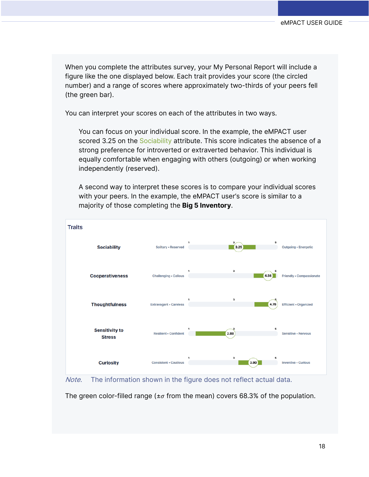When you complete the attributes survey, your My Personal Report will include a figure like the one displayed below. Each trait provides your score (the circled number) and a range of scores where approximately two-thirds of your peers fell (the green bar).

You can interpret your scores on each of the attributes in two ways.

You can focus on your individual score. In the example, the eMPACT user scored 3.25 on the Sociability attribute. This score indicates the absence of a strong preference for introverted or extraverted behavior. This individual is equally comfortable when engaging with others (outgoing) or when working independently (reserved).

A second way to interpret these scores is to compare your individual scores with your peers. In the example, the eMPACT user's score is similar to a majority of those completing the **Big 5 Inventory**.





The green color-filled range ( $\pm \sigma$  from the mean) covers 68.3% of the population.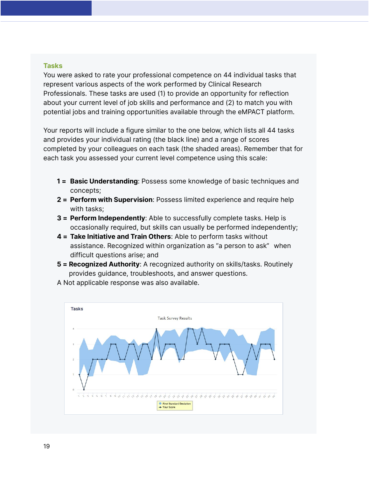#### **Tasks**

You were asked to rate your professional competence on 44 individual tasks that represent various aspects of the work performed by Clinical Research Professionals. These tasks are used (1) to provide an opportunity for reflection about your current level of job skills and performance and (2) to match you with potential jobs and training opportunities available through the eMPACT platform.

Your reports will include a figure similar to the one below, which lists all 44 tasks and provides your individual rating (the black line) and a range of scores completed by your colleagues on each task (the shaded areas). Remember that for each task you assessed your current level competence using this scale:

- **1 = Basic Understanding**: Possess some knowledge of basic techniques and concepts;
- **2 = Perform with Supervision**: Possess limited experience and require help with tasks;
- **3 = Perform Independently**: Able to successfully complete tasks. Help is occasionally required, but skills can usually be performed independently;
- **4 = Take Initiative and Train Others**: Able to perform tasks without assistance. Recognized within organization as "a person to ask" when difficult questions arise; and
- **5 = Recognized Authority**: A recognized authority on skills/tasks. Routinely provides guidance, troubleshoots, and answer questions.



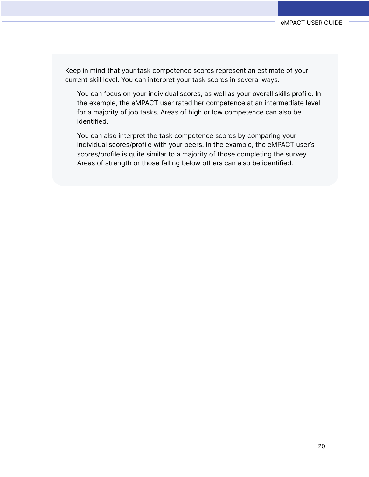Keep in mind that your task competence scores represent an estimate of your current skill level. You can interpret your task scores in several ways.

You can focus on your individual scores, as well as your overall skills profile. In the example, the eMPACT user rated her competence at an intermediate level for a majority of job tasks. Areas of high or low competence can also be identified.

You can also interpret the task competence scores by comparing your individual scores/profile with your peers. In the example, the eMPACT user's scores/profile is quite similar to a majority of those completing the survey. Areas of strength or those falling below others can also be identified.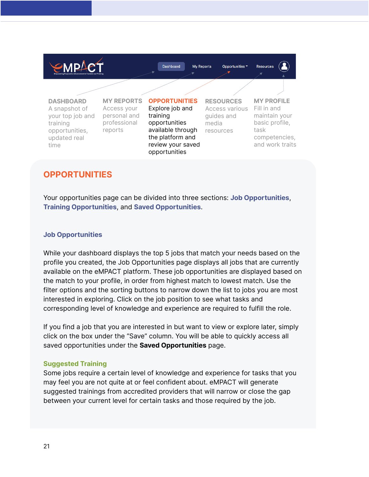

#### **OPPORTUNITIES**

Your opportunities page can be divided into three sections: **Job Opportunities**, **Training Opportunities**, and **Saved Opportunities**.

#### **Job Opportunities**

While your dashboard displays the top 5 jobs that match your needs based on the profile you created, the Job Opportunities page displays all jobs that are currently available on the eMPACT platform. These job opportunities are displayed based on the match to your profile, in order from highest match to lowest match. Use the filter options and the sorting buttons to narrow down the list to jobs you are most interested in exploring. Click on the job position to see what tasks and corresponding level of knowledge and experience are required to fulfill the role.

If you find a job that you are interested in but want to view or explore later, simply click on the box under the "Save" column. You will be able to quickly access all saved opportunities under the **Saved Opportunities** page.

#### **Suggested Training**

Some jobs require a certain level of knowledge and experience for tasks that you may feel you are not quite at or feel confident about. eMPACT will generate suggested trainings from accredited providers that will narrow or close the gap between your current level for certain tasks and those required by the job.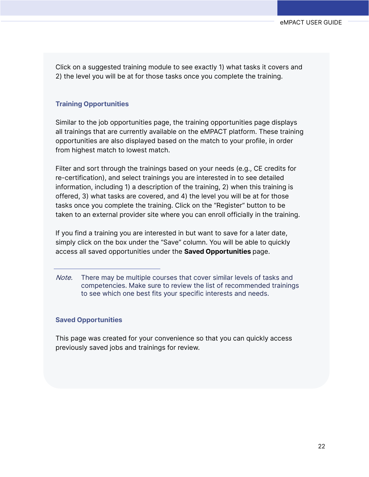Click on a suggested training module to see exactly 1) what tasks it covers and 2) the level you will be at for those tasks once you complete the training.

#### **Training Opportunities**

Similar to the job opportunities page, the training opportunities page displays all trainings that are currently available on the eMPACT platform. These training opportunities are also displayed based on the match to your profile, in order from highest match to lowest match.

Filter and sort through the trainings based on your needs (e.g., CE credits for re-certification), and select trainings you are interested in to see detailed information, including 1) a description of the training, 2) when this training is offered, 3) what tasks are covered, and 4) the level you will be at for those tasks once you complete the training. Click on the "Register" button to be taken to an external provider site where you can enroll officially in the training.

If you find a training you are interested in but want to save for a later date, simply click on the box under the "Save" column. You will be able to quickly access all saved opportunities under the **Saved Opportunities** page.

#### **Saved Opportunities**

This page was created for your convenience so that you can quickly access previously saved jobs and trainings for review.

Note. There may be multiple courses that cover similar levels of tasks and competencies. Make sure to review the list of recommended trainings to see which one best fits your specific interests and needs.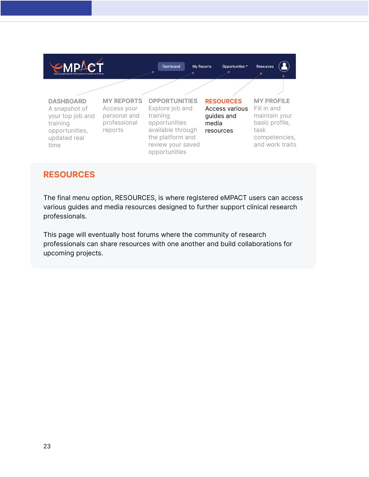

#### **RESOURCES**

The final menu option, RESOURCES, is where registered eMPACT users can access various guides and media resources designed to further support clinical research professionals.

<span id="page-24-0"></span>This page will eventually host forums where the community of research professionals can share resources with one another and build collaborations for upcoming projects.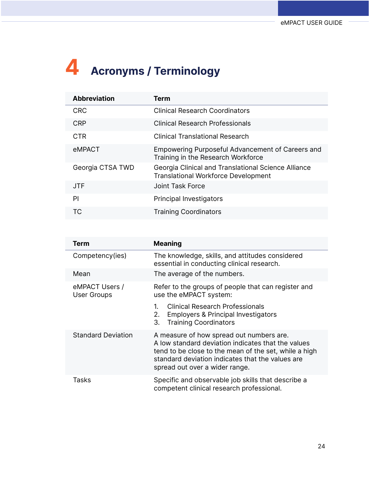# **4 Acronyms / Terminology**

| <b>Abbreviation</b> | Term                                                                                              |
|---------------------|---------------------------------------------------------------------------------------------------|
| <b>CRC</b>          | <b>Clinical Research Coordinators</b>                                                             |
| <b>CRP</b>          | <b>Clinical Research Professionals</b>                                                            |
| <b>CTR</b>          | <b>Clinical Translational Research</b>                                                            |
| eMPACT              | Empowering Purposeful Advancement of Careers and<br>Training in the Research Workforce            |
| Georgia CTSA TWD    | Georgia Clinical and Translational Science Alliance<br><b>Translational Workforce Development</b> |
| <b>JTF</b>          | Joint Task Force                                                                                  |
| PI                  | <b>Principal Investigators</b>                                                                    |
| ТC                  | <b>Training Coordinators</b>                                                                      |

| Term                                 | <b>Meaning</b>                                                                                                                                                                                                                                |
|--------------------------------------|-----------------------------------------------------------------------------------------------------------------------------------------------------------------------------------------------------------------------------------------------|
| Competency(ies)                      | The knowledge, skills, and attitudes considered<br>essential in conducting clinical research.                                                                                                                                                 |
| Mean                                 | The average of the numbers.                                                                                                                                                                                                                   |
| eMPACT Users /<br><b>User Groups</b> | Refer to the groups of people that can register and<br>use the eMPACT system:                                                                                                                                                                 |
|                                      | <b>Clinical Research Professionals</b><br>1.<br><b>Employers &amp; Principal Investigators</b><br>2.<br><b>Training Coordinators</b><br>3.                                                                                                    |
| <b>Standard Deviation</b>            | A measure of how spread out numbers are.<br>A low standard deviation indicates that the values<br>tend to be close to the mean of the set, while a high<br>standard deviation indicates that the values are<br>spread out over a wider range. |
| <b>Tasks</b>                         | Specific and observable job skills that describe a<br>competent clinical research professional.                                                                                                                                               |